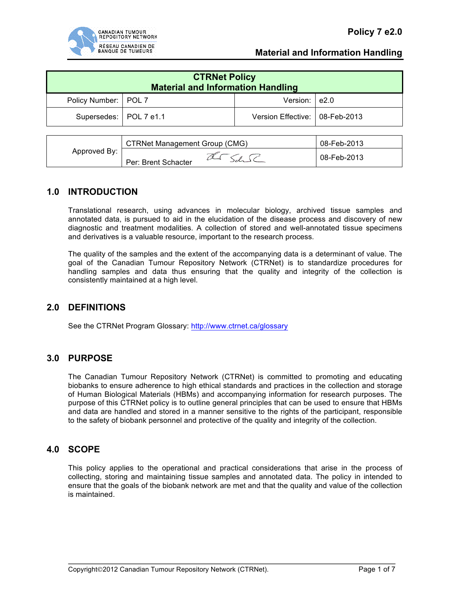

# **Material and Information Handling**

| <b>CTRNet Policy</b><br><b>Material and Information Handling</b> |  |                                  |  |  |  |
|------------------------------------------------------------------|--|----------------------------------|--|--|--|
| Policy Number:   POL 7                                           |  | Version: $ e2.0$                 |  |  |  |
| Supersedes:   POL 7 e1.1                                         |  | Version Effective:   08-Feb-2013 |  |  |  |

| Approved By: | <b>CTRNet Management Group (CMG)</b> |  | 08-Feb-2013 |
|--------------|--------------------------------------|--|-------------|
|              | Per: Brent Schacter                  |  | 08-Feb-2013 |

# **1.0 INTRODUCTION**

Translational research, using advances in molecular biology, archived tissue samples and annotated data, is pursued to aid in the elucidation of the disease process and discovery of new diagnostic and treatment modalities. A collection of stored and well-annotated tissue specimens and derivatives is a valuable resource, important to the research process.

The quality of the samples and the extent of the accompanying data is a determinant of value. The goal of the Canadian Tumour Repository Network (CTRNet) is to standardize procedures for handling samples and data thus ensuring that the quality and integrity of the collection is consistently maintained at a high level.

## **2.0 DEFINITIONS**

See the CTRNet Program Glossary: http://www.ctrnet.ca/glossary

# **3.0 PURPOSE**

The Canadian Tumour Repository Network (CTRNet) is committed to promoting and educating biobanks to ensure adherence to high ethical standards and practices in the collection and storage of Human Biological Materials (HBMs) and accompanying information for research purposes. The purpose of this CTRNet policy is to outline general principles that can be used to ensure that HBMs and data are handled and stored in a manner sensitive to the rights of the participant, responsible to the safety of biobank personnel and protective of the quality and integrity of the collection.

## **4.0 SCOPE**

This policy applies to the operational and practical considerations that arise in the process of collecting, storing and maintaining tissue samples and annotated data. The policy in intended to ensure that the goals of the biobank network are met and that the quality and value of the collection is maintained.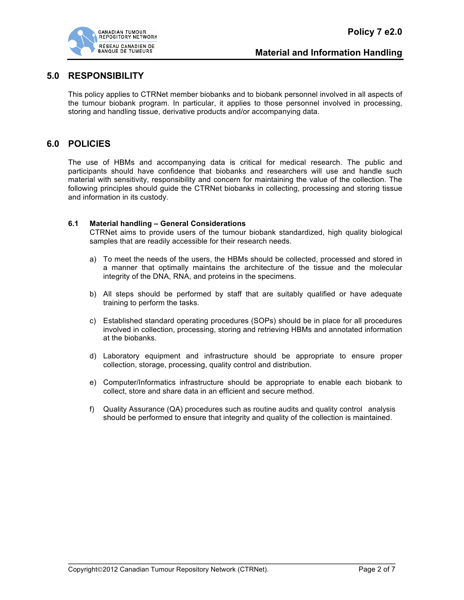

## **5.0 RESPONSIBILITY**

This policy applies to CTRNet member biobanks and to biobank personnel involved in all aspects of the tumour biobank program. In particular, it applies to those personnel involved in processing, storing and handling tissue, derivative products and/or accompanying data.

# **6.0 POLICIES**

The use of HBMs and accompanying data is critical for medical research. The public and participants should have confidence that biobanks and researchers will use and handle such material with sensitivity, responsibility and concern for maintaining the value of the collection. The following principles should guide the CTRNet biobanks in collecting, processing and storing tissue and information in its custody.

### **6.1 Material handling – General Considerations**

CTRNet aims to provide users of the tumour biobank standardized, high quality biological samples that are readily accessible for their research needs.

- a) To meet the needs of the users, the HBMs should be collected, processed and stored in a manner that optimally maintains the architecture of the tissue and the molecular integrity of the DNA, RNA, and proteins in the specimens.
- b) All steps should be performed by staff that are suitably qualified or have adequate training to perform the tasks.
- c) Established standard operating procedures (SOPs) should be in place for all procedures involved in collection, processing, storing and retrieving HBMs and annotated information at the biobanks.
- d) Laboratory equipment and infrastructure should be appropriate to ensure proper collection, storage, processing, quality control and distribution.
- e) Computer/Informatics infrastructure should be appropriate to enable each biobank to collect, store and share data in an efficient and secure method.
- f) Quality Assurance (QA) procedures such as routine audits and quality control analysis should be performed to ensure that integrity and quality of the collection is maintained.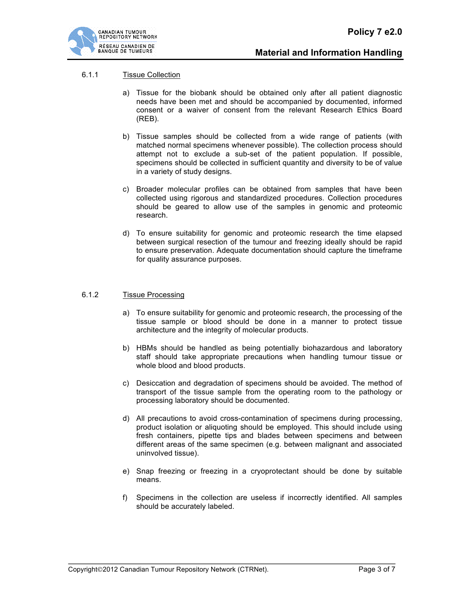### 6.1.1 Tissue Collection

- a) Tissue for the biobank should be obtained only after all patient diagnostic needs have been met and should be accompanied by documented, informed consent or a waiver of consent from the relevant Research Ethics Board (REB).
- b) Tissue samples should be collected from a wide range of patients (with matched normal specimens whenever possible). The collection process should attempt not to exclude a sub-set of the patient population. If possible, specimens should be collected in sufficient quantity and diversity to be of value in a variety of study designs.
- c) Broader molecular profiles can be obtained from samples that have been collected using rigorous and standardized procedures. Collection procedures should be geared to allow use of the samples in genomic and proteomic research.
- d) To ensure suitability for genomic and proteomic research the time elapsed between surgical resection of the tumour and freezing ideally should be rapid to ensure preservation. Adequate documentation should capture the timeframe for quality assurance purposes.

#### 6.1.2 Tissue Processing

- a) To ensure suitability for genomic and proteomic research, the processing of the tissue sample or blood should be done in a manner to protect tissue architecture and the integrity of molecular products.
- b) HBMs should be handled as being potentially biohazardous and laboratory staff should take appropriate precautions when handling tumour tissue or whole blood and blood products.
- c) Desiccation and degradation of specimens should be avoided. The method of transport of the tissue sample from the operating room to the pathology or processing laboratory should be documented.
- d) All precautions to avoid cross-contamination of specimens during processing, product isolation or aliquoting should be employed. This should include using fresh containers, pipette tips and blades between specimens and between different areas of the same specimen (e.g. between malignant and associated uninvolved tissue).
- e) Snap freezing or freezing in a cryoprotectant should be done by suitable means.
- f) Specimens in the collection are useless if incorrectly identified. All samples should be accurately labeled.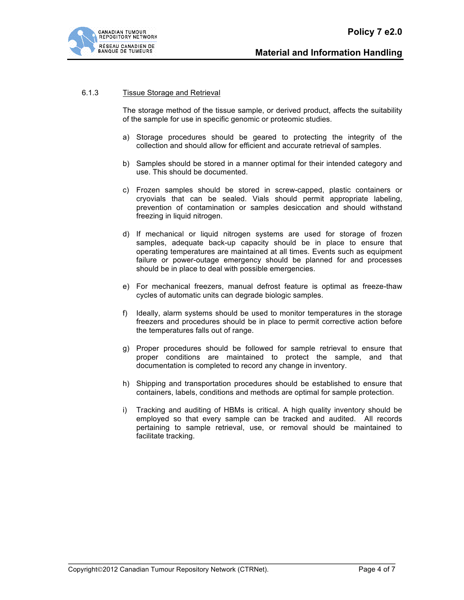

### 6.1.3 Tissue Storage and Retrieval

The storage method of the tissue sample, or derived product, affects the suitability of the sample for use in specific genomic or proteomic studies.

- a) Storage procedures should be geared to protecting the integrity of the collection and should allow for efficient and accurate retrieval of samples.
- b) Samples should be stored in a manner optimal for their intended category and use. This should be documented.
- c) Frozen samples should be stored in screw-capped, plastic containers or cryovials that can be sealed. Vials should permit appropriate labeling, prevention of contamination or samples desiccation and should withstand freezing in liquid nitrogen.
- d) If mechanical or liquid nitrogen systems are used for storage of frozen samples, adequate back-up capacity should be in place to ensure that operating temperatures are maintained at all times. Events such as equipment failure or power-outage emergency should be planned for and processes should be in place to deal with possible emergencies.
- e) For mechanical freezers, manual defrost feature is optimal as freeze-thaw cycles of automatic units can degrade biologic samples.
- f) Ideally, alarm systems should be used to monitor temperatures in the storage freezers and procedures should be in place to permit corrective action before the temperatures falls out of range.
- g) Proper procedures should be followed for sample retrieval to ensure that proper conditions are maintained to protect the sample, and that documentation is completed to record any change in inventory.
- h) Shipping and transportation procedures should be established to ensure that containers, labels, conditions and methods are optimal for sample protection.
- i) Tracking and auditing of HBMs is critical. A high quality inventory should be employed so that every sample can be tracked and audited. All records pertaining to sample retrieval, use, or removal should be maintained to facilitate tracking.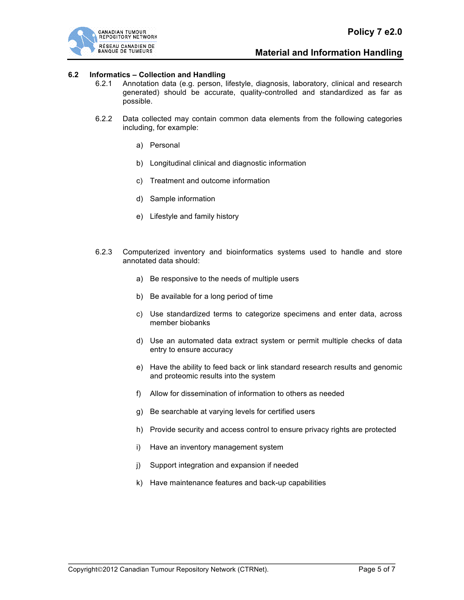

# **Material and Information Handling**

### **6.2 Informatics – Collection and Handling**

- 6.2.1 Annotation data (e.g. person, lifestyle, diagnosis, laboratory, clinical and research generated) should be accurate, quality-controlled and standardized as far as possible.
- 6.2.2 Data collected may contain common data elements from the following categories including, for example:
	- a) Personal
	- b) Longitudinal clinical and diagnostic information
	- c) Treatment and outcome information
	- d) Sample information
	- e) Lifestyle and family history
- 6.2.3 Computerized inventory and bioinformatics systems used to handle and store annotated data should:
	- a) Be responsive to the needs of multiple users
	- b) Be available for a long period of time
	- c) Use standardized terms to categorize specimens and enter data, across member biobanks
	- d) Use an automated data extract system or permit multiple checks of data entry to ensure accuracy
	- e) Have the ability to feed back or link standard research results and genomic and proteomic results into the system
	- f) Allow for dissemination of information to others as needed
	- g) Be searchable at varying levels for certified users
	- h) Provide security and access control to ensure privacy rights are protected
	- i) Have an inventory management system
	- j) Support integration and expansion if needed
	- k) Have maintenance features and back-up capabilities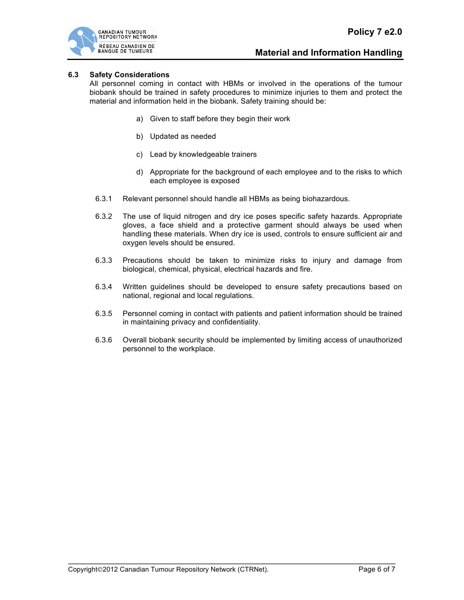### **6.3 Safety Considerations**

All personnel coming in contact with HBMs or involved in the operations of the tumour biobank should be trained in safety procedures to minimize injuries to them and protect the material and information held in the biobank. Safety training should be:

- a) Given to staff before they begin their work
- b) Updated as needed
- c) Lead by knowledgeable trainers
- d) Appropriate for the background of each employee and to the risks to which each employee is exposed
- 6.3.1 Relevant personnel should handle all HBMs as being biohazardous.
- 6.3.2 The use of liquid nitrogen and dry ice poses specific safety hazards. Appropriate gloves, a face shield and a protective garment should always be used when handling these materials. When dry ice is used, controls to ensure sufficient air and oxygen levels should be ensured.
- 6.3.3 Precautions should be taken to minimize risks to injury and damage from biological, chemical, physical, electrical hazards and fire.
- 6.3.4 Written guidelines should be developed to ensure safety precautions based on national, regional and local regulations.
- 6.3.5 Personnel coming in contact with patients and patient information should be trained in maintaining privacy and confidentiality.
- 6.3.6 Overall biobank security should be implemented by limiting access of unauthorized personnel to the workplace.